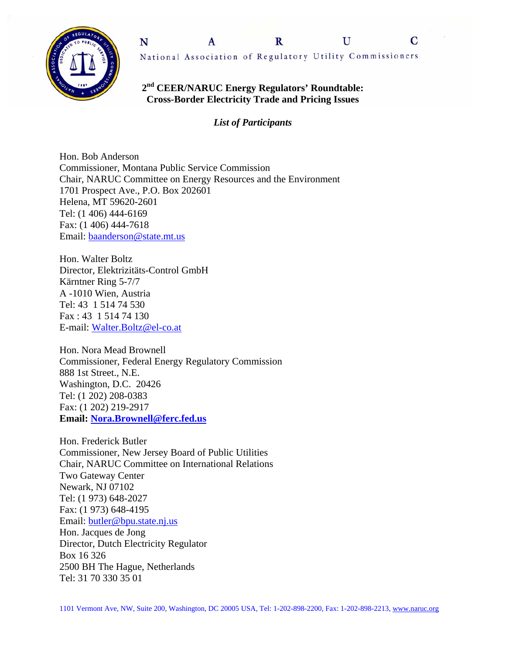



## **2nd CEER/NARUC Energy Regulators' Roundtable: Cross-Border Electricity Trade and Pricing Issues**

*List of Participants* 

Hon. Bob Anderson Commissioner, Montana Public Service Commission Chair, NARUC Committee on Energy Resources and the Environment 1701 Prospect Ave., P.O. Box 202601 Helena, MT 59620-2601 Tel: (1 406) 444-6169 Fax: (1 406) 444-7618 Email: baanderson@state.mt.us

Hon. Walter Boltz Director, Elektrizitäts-Control GmbH Kärntner Ring 5-7/7 A -1010 Wien, Austria Tel: 43 1 514 74 530 Fax : 43 1 514 74 130 E-mail: Walter.Boltz@el-co.at

Hon. Nora Mead Brownell Commissioner, Federal Energy Regulatory Commission 888 1st Street., N.E. Washington, D.C. 20426 Tel: (1 202) 208-0383 Fax: (1 202) 219-2917 **Email: Nora.Brownell@ferc.fed.us**

Hon. Frederick Butler Commissioner, New Jersey Board of Public Utilities Chair, NARUC Committee on International Relations Two Gateway Center Newark, NJ 07102 Tel: (1 973) 648-2027 Fax: (1 973) 648-4195 Email: butler@bpu.state.nj.us Hon. Jacques de Jong Director, Dutch Electricity Regulator Box 16 326 2500 BH The Hague, Netherlands Tel: 31 70 330 35 01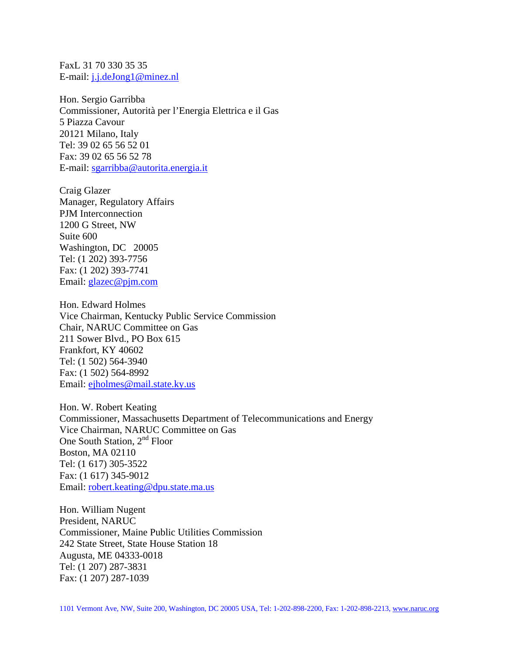FaxL 31 70 330 35 35 E-mail: j.j.deJong1@minez.nl

Hon. Sergio Garribba Commissioner, Autorità per l'Energia Elettrica e il Gas 5 Piazza Cavour 20121 Milano, Italy Tel: 39 02 65 56 52 01 Fax: 39 02 65 56 52 78 E-mail: sgarribba@autorita.energia.it

Craig Glazer Manager, Regulatory Affairs PJM Interconnection 1200 G Street, NW Suite 600 Washington, DC 20005 Tel: (1 202) 393-7756 Fax: (1 202) 393-7741 Email: glazec@pjm.com

Hon. Edward Holmes Vice Chairman, Kentucky Public Service Commission Chair, NARUC Committee on Gas 211 Sower Blvd., PO Box 615 Frankfort, KY 40602 Tel: (1 502) 564-3940 Fax: (1 502) 564-8992 Email: ejholmes@mail.state.ky.us

Hon. W. Robert Keating Commissioner, Massachusetts Department of Telecommunications and Energy Vice Chairman, NARUC Committee on Gas One South Station, 2<sup>nd</sup> Floor Boston, MA 02110 Tel: (1 617) 305-3522 Fax: (1 617) 345-9012 Email: robert.keating@dpu.state.ma.us

Hon. William Nugent President, NARUC Commissioner, Maine Public Utilities Commission 242 State Street, State House Station 18 Augusta, ME 04333-0018 Tel: (1 207) 287-3831 Fax: (1 207) 287-1039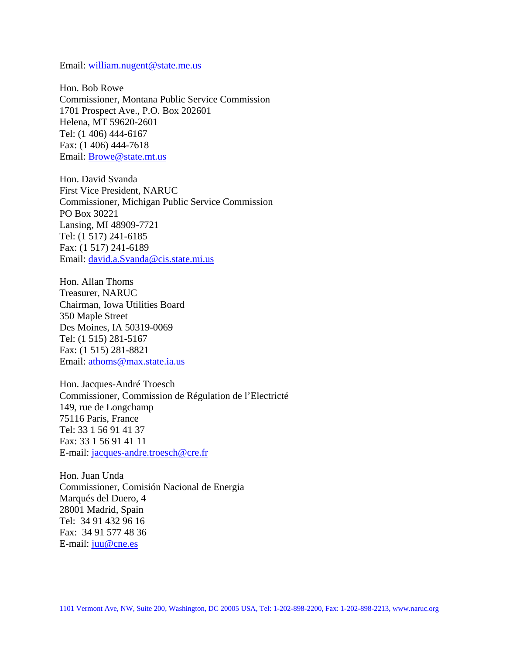Email: william.nugent@state.me.us

Hon. Bob Rowe Commissioner, Montana Public Service Commission 1701 Prospect Ave., P.O. Box 202601 Helena, MT 59620-2601 Tel: (1 406) 444-6167 Fax: (1 406) 444-7618 Email: Browe@state.mt.us

Hon. David Svanda First Vice President, NARUC Commissioner, Michigan Public Service Commission PO Box 30221 Lansing, MI 48909-7721 Tel: (1 517) 241-6185 Fax: (1 517) 241-6189 Email: david.a.Svanda@cis.state.mi.us

Hon. Allan Thoms Treasurer, NARUC Chairman, Iowa Utilities Board 350 Maple Street Des Moines, IA 50319-0069 Tel: (1 515) 281-5167 Fax: (1 515) 281-8821 Email: athoms@max.state.ia.us

Hon. Jacques-André Troesch Commissioner, Commission de Régulation de l'Electricté 149, rue de Longchamp 75116 Paris, France Tel: 33 1 56 91 41 37 Fax: 33 1 56 91 41 11 E-mail: jacques-andre.troesch@cre.fr

Hon. Juan Unda Commissioner, Comisión Nacional de Energia Marqués del Duero, 4 28001 Madrid, Spain Tel: 34 91 432 96 16 Fax: 34 91 577 48 36 E-mail: juu@cne.es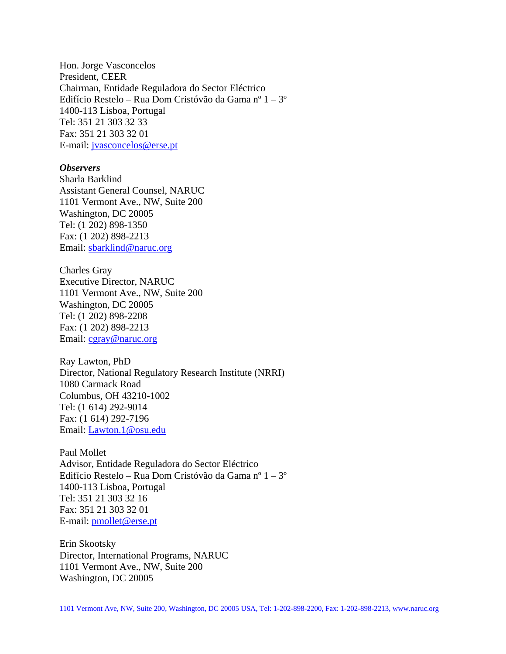Hon. Jorge Vasconcelos President, CEER Chairman, Entidade Reguladora do Sector Eléctrico Edifício Restelo – Rua Dom Cristóvão da Gama nº 1 – 3º 1400-113 Lisboa, Portugal Tel: 351 21 303 32 33 Fax: 351 21 303 32 01 E-mail: jvasconcelos@erse.pt

## *Observers*

Sharla Barklind Assistant General Counsel, NARUC 1101 Vermont Ave., NW, Suite 200 Washington, DC 20005 Tel: (1 202) 898-1350 Fax: (1 202) 898-2213 Email: sbarklind@naruc.org

Charles Gray Executive Director, NARUC 1101 Vermont Ave., NW, Suite 200 Washington, DC 20005 Tel: (1 202) 898-2208 Fax: (1 202) 898-2213 Email: cgray@naruc.org

Ray Lawton, PhD Director, National Regulatory Research Institute (NRRI) 1080 Carmack Road Columbus, OH 43210-1002 Tel: (1 614) 292-9014 Fax: (1 614) 292-7196 Email: Lawton.1@osu.edu

Paul Mollet Advisor, Entidade Reguladora do Sector Eléctrico Edifício Restelo – Rua Dom Cristóvão da Gama nº 1 – 3º 1400-113 Lisboa, Portugal Tel: 351 21 303 32 16 Fax: 351 21 303 32 01 E-mail: pmollet@erse.pt

Erin Skootsky Director, International Programs, NARUC 1101 Vermont Ave., NW, Suite 200 Washington, DC 20005